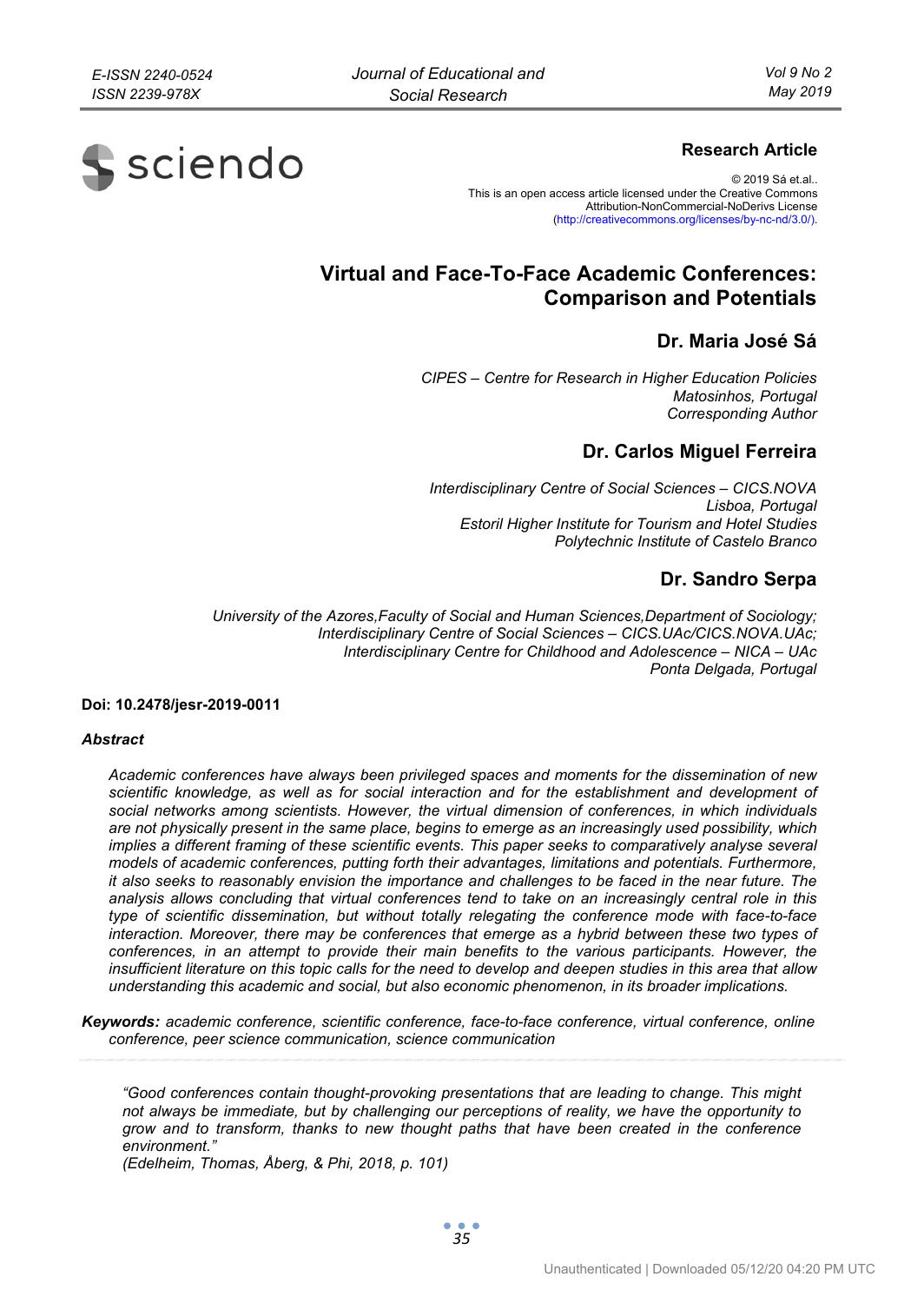# **S** sciendo

# **Research Article**

© 2019 Sá et.al.. This is an open access article licensed under the Creative Commons Attribution-NonCommercial-NoDerivs License (http://creativecommons.org/licenses/by-nc-nd/3.0/).

# **Virtual and Face-To-Face Academic Conferences: Comparison and Potentials**

# **Dr. Maria José Sá**

*CIPES – Centre for Research in Higher Education Policies Matosinhos, Portugal Corresponding Author* 

# **Dr. Carlos Miguel Ferreira**

*Interdisciplinary Centre of Social Sciences – CICS.NOVA Lisboa, Portugal Estoril Higher Institute for Tourism and Hotel Studies Polytechnic Institute of Castelo Branco* 

# **Dr. Sandro Serpa**

*University of the Azores,Faculty of Social and Human Sciences,Department of Sociology; Interdisciplinary Centre of Social Sciences – CICS.UAc/CICS.NOVA.UAc; Interdisciplinary Centre for Childhood and Adolescence – NICA – UAc Ponta Delgada, Portugal* 

#### **Doi: 10.2478/jesr-2019-0011**

#### *Abstract*

*Academic conferences have always been privileged spaces and moments for the dissemination of new scientific knowledge, as well as for social interaction and for the establishment and development of social networks among scientists. However, the virtual dimension of conferences, in which individuals are not physically present in the same place, begins to emerge as an increasingly used possibility, which implies a different framing of these scientific events. This paper seeks to comparatively analyse several models of academic conferences, putting forth their advantages, limitations and potentials. Furthermore, it also seeks to reasonably envision the importance and challenges to be faced in the near future. The analysis allows concluding that virtual conferences tend to take on an increasingly central role in this type of scientific dissemination, but without totally relegating the conference mode with face-to-face*  interaction. Moreover, there may be conferences that emerge as a hybrid between these two types of *conferences, in an attempt to provide their main benefits to the various participants. However, the insufficient literature on this topic calls for the need to develop and deepen studies in this area that allow understanding this academic and social, but also economic phenomenon, in its broader implications.* 

*Keywords: academic conference, scientific conference, face-to-face conference, virtual conference, online conference, peer science communication, science communication* 

*"Good conferences contain thought-provoking presentations that are leading to change. This might not always be immediate, but by challenging our perceptions of reality, we have the opportunity to grow and to transform, thanks to new thought paths that have been created in the conference environment."* 

*(Edelheim, Thomas, Åberg, & Phi, 2018, p. 101)*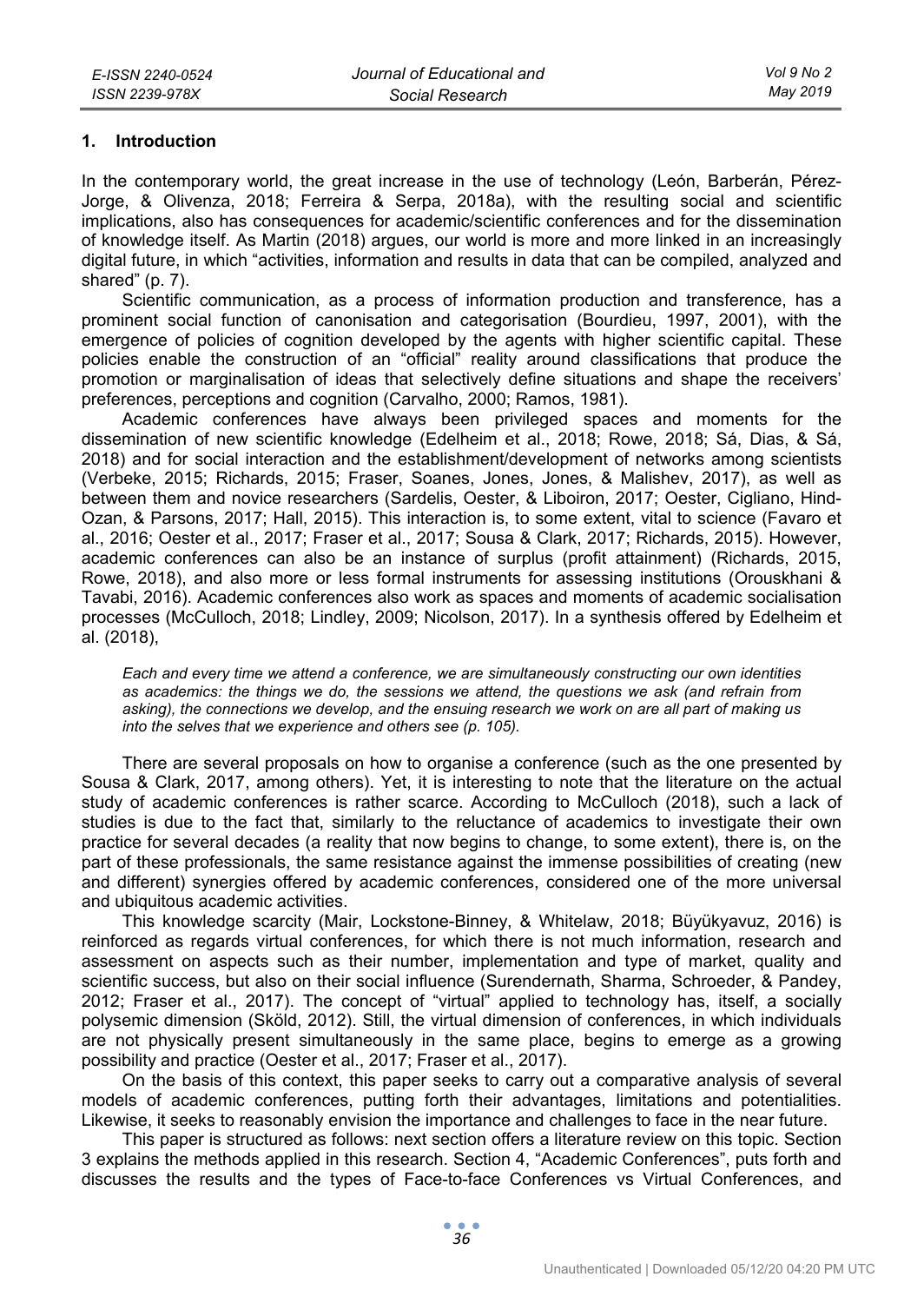#### **1. Introduction**

In the contemporary world, the great increase in the use of technology (León, Barberán, Pérez-Jorge, & Olivenza, 2018; Ferreira & Serpa, 2018a), with the resulting social and scientific implications, also has consequences for academic/scientific conferences and for the dissemination of knowledge itself. As Martin (2018) argues, our world is more and more linked in an increasingly digital future, in which "activities, information and results in data that can be compiled, analyzed and shared" (p. 7).

Scientific communication, as a process of information production and transference, has a prominent social function of canonisation and categorisation (Bourdieu, 1997, 2001), with the emergence of policies of cognition developed by the agents with higher scientific capital. These policies enable the construction of an "official" reality around classifications that produce the promotion or marginalisation of ideas that selectively define situations and shape the receivers' preferences, perceptions and cognition (Carvalho, 2000; Ramos, 1981).

Academic conferences have always been privileged spaces and moments for the dissemination of new scientific knowledge (Edelheim et al., 2018; Rowe, 2018; Sá, Dias, & Sá, 2018) and for social interaction and the establishment/development of networks among scientists (Verbeke, 2015; Richards, 2015; Fraser, Soanes, Jones, Jones, & Malishev, 2017), as well as between them and novice researchers (Sardelis, Oester, & Liboiron, 2017; Oester, Cigliano, Hind-Ozan, & Parsons, 2017; Hall, 2015). This interaction is, to some extent, vital to science (Favaro et al., 2016; Oester et al., 2017; Fraser et al., 2017; Sousa & Clark, 2017; Richards, 2015). However, academic conferences can also be an instance of surplus (profit attainment) (Richards, 2015, Rowe, 2018), and also more or less formal instruments for assessing institutions (Orouskhani & Tavabi, 2016). Academic conferences also work as spaces and moments of academic socialisation processes (McCulloch, 2018; Lindley, 2009; Nicolson, 2017). In a synthesis offered by Edelheim et al. (2018),

*Each and every time we attend a conference, we are simultaneously constructing our own identities as academics: the things we do, the sessions we attend, the questions we ask (and refrain from asking), the connections we develop, and the ensuing research we work on are all part of making us into the selves that we experience and others see (p. 105).* 

There are several proposals on how to organise a conference (such as the one presented by Sousa & Clark, 2017, among others). Yet, it is interesting to note that the literature on the actual study of academic conferences is rather scarce. According to McCulloch (2018), such a lack of studies is due to the fact that, similarly to the reluctance of academics to investigate their own practice for several decades (a reality that now begins to change, to some extent), there is, on the part of these professionals, the same resistance against the immense possibilities of creating (new and different) synergies offered by academic conferences, considered one of the more universal and ubiquitous academic activities.

This knowledge scarcity (Mair, Lockstone-Binney, & Whitelaw, 2018; Büyükyavuz, 2016) is reinforced as regards virtual conferences, for which there is not much information, research and assessment on aspects such as their number, implementation and type of market, quality and scientific success, but also on their social influence (Surendernath, Sharma, Schroeder, & Pandey, 2012; Fraser et al., 2017). The concept of "virtual" applied to technology has, itself, a socially polysemic dimension (Sköld, 2012). Still, the virtual dimension of conferences, in which individuals are not physically present simultaneously in the same place, begins to emerge as a growing possibility and practice (Oester et al., 2017; Fraser et al., 2017).

On the basis of this context, this paper seeks to carry out a comparative analysis of several models of academic conferences, putting forth their advantages, limitations and potentialities. Likewise, it seeks to reasonably envision the importance and challenges to face in the near future.

This paper is structured as follows: next section offers a literature review on this topic. Section 3 explains the methods applied in this research. Section 4, "Academic Conferences", puts forth and discusses the results and the types of Face-to-face Conferences vs Virtual Conferences, and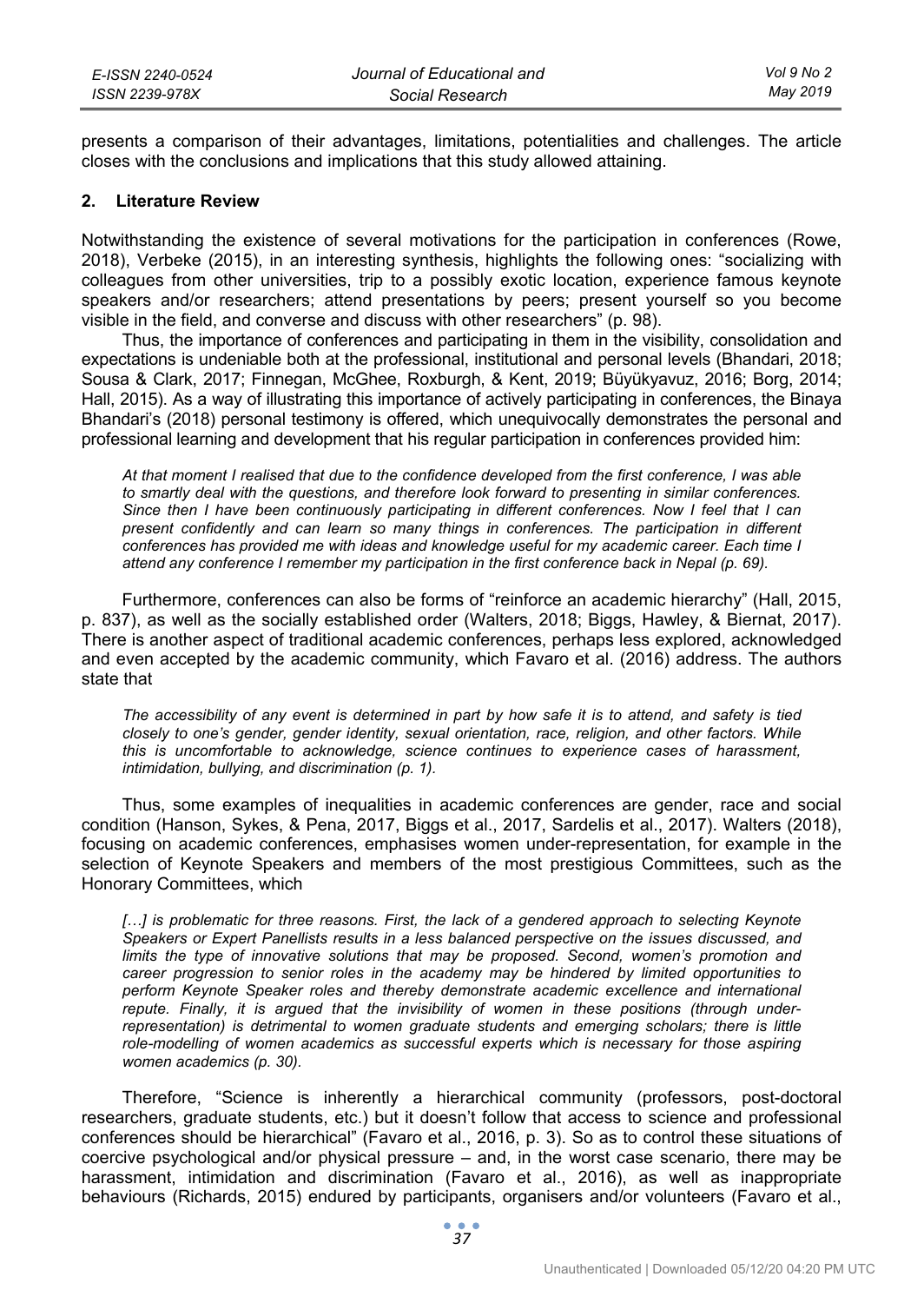| E-ISSN 2240-0524 | Journal of Educational and | Vol 9 No 2 |
|------------------|----------------------------|------------|
| ISSN 2239-978X   | Social Research            | May 2019   |

presents a comparison of their advantages, limitations, potentialities and challenges. The article closes with the conclusions and implications that this study allowed attaining.

#### **2. Literature Review**

Notwithstanding the existence of several motivations for the participation in conferences (Rowe, 2018), Verbeke (2015), in an interesting synthesis, highlights the following ones: "socializing with colleagues from other universities, trip to a possibly exotic location, experience famous keynote speakers and/or researchers; attend presentations by peers; present yourself so you become visible in the field, and converse and discuss with other researchers" (p. 98).

Thus, the importance of conferences and participating in them in the visibility, consolidation and expectations is undeniable both at the professional, institutional and personal levels (Bhandari, 2018; Sousa & Clark, 2017; Finnegan, McGhee, Roxburgh, & Kent, 2019; Büyükyavuz, 2016; Borg, 2014; Hall, 2015). As a way of illustrating this importance of actively participating in conferences, the Binaya Bhandari's (2018) personal testimony is offered, which unequivocally demonstrates the personal and professional learning and development that his regular participation in conferences provided him:

*At that moment I realised that due to the confidence developed from the first conference, I was able to smartly deal with the questions, and therefore look forward to presenting in similar conferences. Since then I have been continuously participating in different conferences. Now I feel that I can present confidently and can learn so many things in conferences. The participation in different conferences has provided me with ideas and knowledge useful for my academic career. Each time I attend any conference I remember my participation in the first conference back in Nepal (p. 69).* 

Furthermore, conferences can also be forms of "reinforce an academic hierarchy" (Hall, 2015, p. 837), as well as the socially established order (Walters, 2018; Biggs, Hawley, & Biernat, 2017). There is another aspect of traditional academic conferences, perhaps less explored, acknowledged and even accepted by the academic community, which Favaro et al. (2016) address. The authors state that

*The accessibility of any event is determined in part by how safe it is to attend, and safety is tied closely to one's gender, gender identity, sexual orientation, race, religion, and other factors. While this is uncomfortable to acknowledge, science continues to experience cases of harassment, intimidation, bullying, and discrimination (p. 1).* 

Thus, some examples of inequalities in academic conferences are gender, race and social condition (Hanson, Sykes, & Pena, 2017, Biggs et al., 2017, Sardelis et al., 2017). Walters (2018), focusing on academic conferences, emphasises women under-representation, for example in the selection of Keynote Speakers and members of the most prestigious Committees, such as the Honorary Committees, which

[...] is problematic for three reasons. First, the lack of a gendered approach to selecting Keynote *Speakers or Expert Panellists results in a less balanced perspective on the issues discussed, and limits the type of innovative solutions that may be proposed. Second, women's promotion and career progression to senior roles in the academy may be hindered by limited opportunities to*  perform Keynote Speaker roles and thereby demonstrate academic excellence and international *repute. Finally, it is argued that the invisibility of women in these positions (through under*representation) is detrimental to women graduate students and emerging scholars; there is little *role-modelling of women academics as successful experts which is necessary for those aspiring women academics (p. 30).* 

Therefore, "Science is inherently a hierarchical community (professors, post-doctoral researchers, graduate students, etc.) but it doesn't follow that access to science and professional conferences should be hierarchical" (Favaro et al., 2016, p. 3). So as to control these situations of coercive psychological and/or physical pressure – and, in the worst case scenario, there may be harassment, intimidation and discrimination (Favaro et al., 2016), as well as inappropriate behaviours (Richards, 2015) endured by participants, organisers and/or volunteers (Favaro et al.,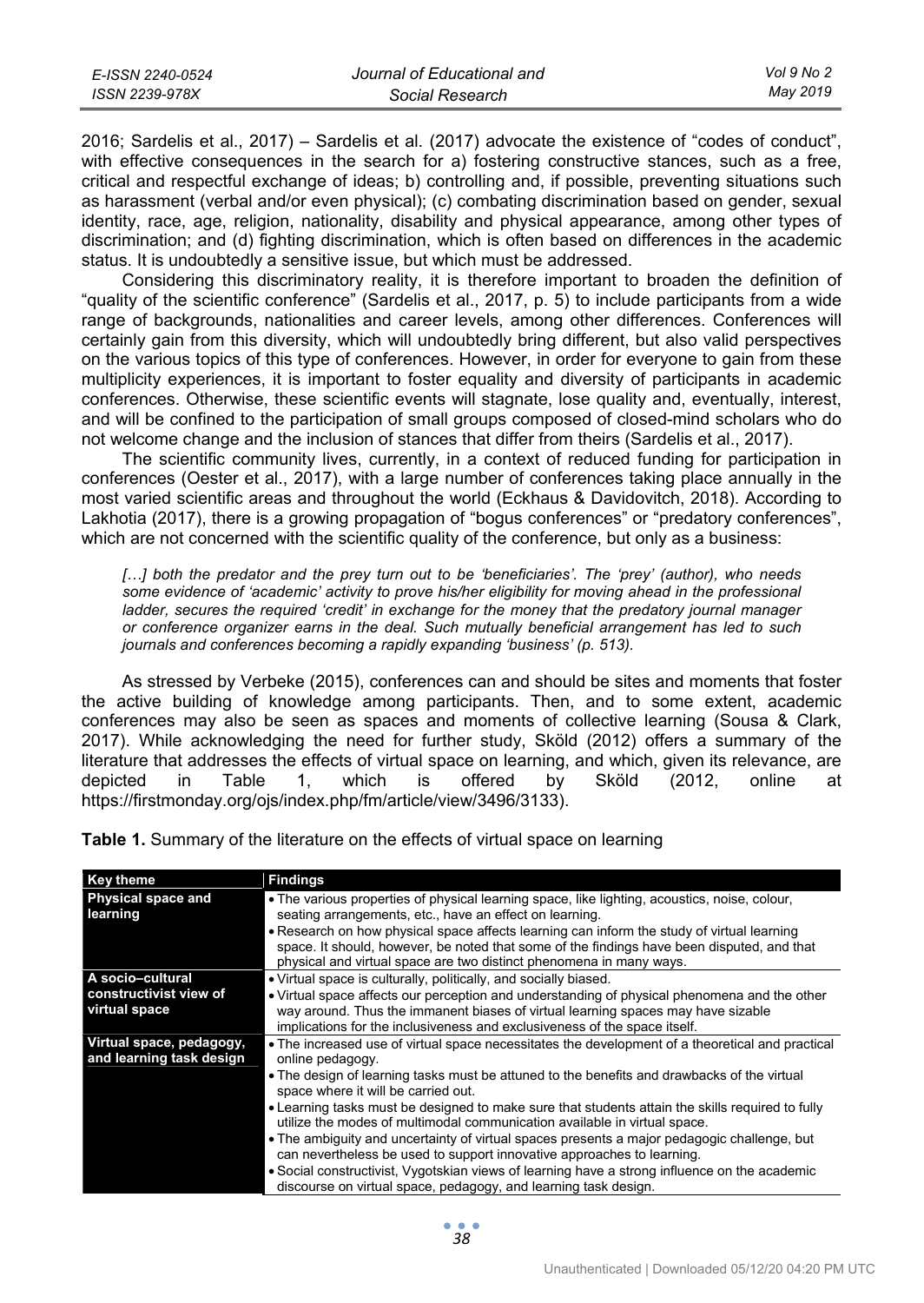| E-ISSN 2240-0524 | Journal of Educational and | Vol 9 No 2 |
|------------------|----------------------------|------------|
| ISSN 2239-978X   | Social Research            | Mav 2019   |

2016; Sardelis et al., 2017) – Sardelis et al. (2017) advocate the existence of "codes of conduct", with effective consequences in the search for a) fostering constructive stances, such as a free, critical and respectful exchange of ideas; b) controlling and, if possible, preventing situations such as harassment (verbal and/or even physical); (c) combating discrimination based on gender, sexual identity, race, age, religion, nationality, disability and physical appearance, among other types of discrimination; and (d) fighting discrimination, which is often based on differences in the academic status. It is undoubtedly a sensitive issue, but which must be addressed.

Considering this discriminatory reality, it is therefore important to broaden the definition of "quality of the scientific conference" (Sardelis et al., 2017, p. 5) to include participants from a wide range of backgrounds, nationalities and career levels, among other differences. Conferences will certainly gain from this diversity, which will undoubtedly bring different, but also valid perspectives on the various topics of this type of conferences. However, in order for everyone to gain from these multiplicity experiences, it is important to foster equality and diversity of participants in academic conferences. Otherwise, these scientific events will stagnate, lose quality and, eventually, interest, and will be confined to the participation of small groups composed of closed-mind scholars who do not welcome change and the inclusion of stances that differ from theirs (Sardelis et al., 2017).

The scientific community lives, currently, in a context of reduced funding for participation in conferences (Oester et al., 2017), with a large number of conferences taking place annually in the most varied scientific areas and throughout the world (Eckhaus & Davidovitch, 2018). According to Lakhotia (2017), there is a growing propagation of "bogus conferences" or "predatory conferences", which are not concerned with the scientific quality of the conference, but only as a business:

*[…] both the predator and the prey turn out to be 'beneficiaries'. The 'prey' (author), who needs some evidence of 'academic' activity to prove his/her eligibility for moving ahead in the professional ladder, secures the required 'credit' in exchange for the money that the predatory journal manager or conference organizer earns in the deal. Such mutually beneficial arrangement has led to such journals and conferences becoming a rapidly expanding 'business' (p. 513).* 

As stressed by Verbeke (2015), conferences can and should be sites and moments that foster the active building of knowledge among participants. Then, and to some extent, academic conferences may also be seen as spaces and moments of collective learning (Sousa & Clark, 2017). While acknowledging the need for further study, Sköld (2012) offers a summary of the literature that addresses the effects of virtual space on learning, and which, given its relevance, are depicted in Table 1, which is offered by Sköld (2012, online at https://firstmonday.org/ojs/index.php/fm/article/view/3496/3133).

| <b>Key theme</b>                                     | <b>Findings</b>                                                                                                                                                                                                                                                 |
|------------------------------------------------------|-----------------------------------------------------------------------------------------------------------------------------------------------------------------------------------------------------------------------------------------------------------------|
| Physical space and<br>learning                       | • The various properties of physical learning space, like lighting, acoustics, noise, colour,<br>seating arrangements, etc., have an effect on learning.                                                                                                        |
|                                                      | • Research on how physical space affects learning can inform the study of virtual learning<br>space. It should, however, be noted that some of the findings have been disputed, and that<br>physical and virtual space are two distinct phenomena in many ways. |
| A socio-cultural                                     | • Virtual space is culturally, politically, and socially biased.                                                                                                                                                                                                |
| constructivist view of                               | • Virtual space affects our perception and understanding of physical phenomena and the other                                                                                                                                                                    |
| virtual space                                        | way around. Thus the immanent biases of virtual learning spaces may have sizable                                                                                                                                                                                |
|                                                      | implications for the inclusiveness and exclusiveness of the space itself.                                                                                                                                                                                       |
| Virtual space, pedagogy,<br>and learning task design | • The increased use of virtual space necessitates the development of a theoretical and practical<br>online pedagogy.                                                                                                                                            |
|                                                      | • The design of learning tasks must be attuned to the benefits and drawbacks of the virtual<br>space where it will be carried out.                                                                                                                              |
|                                                      | • Learning tasks must be designed to make sure that students attain the skills required to fully<br>utilize the modes of multimodal communication available in virtual space.                                                                                   |
|                                                      | • The ambiguity and uncertainty of virtual spaces presents a major pedagogic challenge, but<br>can nevertheless be used to support innovative approaches to learning.                                                                                           |
|                                                      | • Social constructivist, Vygotskian views of learning have a strong influence on the academic<br>discourse on virtual space, pedagogy, and learning task design.                                                                                                |

**Table 1.** Summary of the literature on the effects of virtual space on learning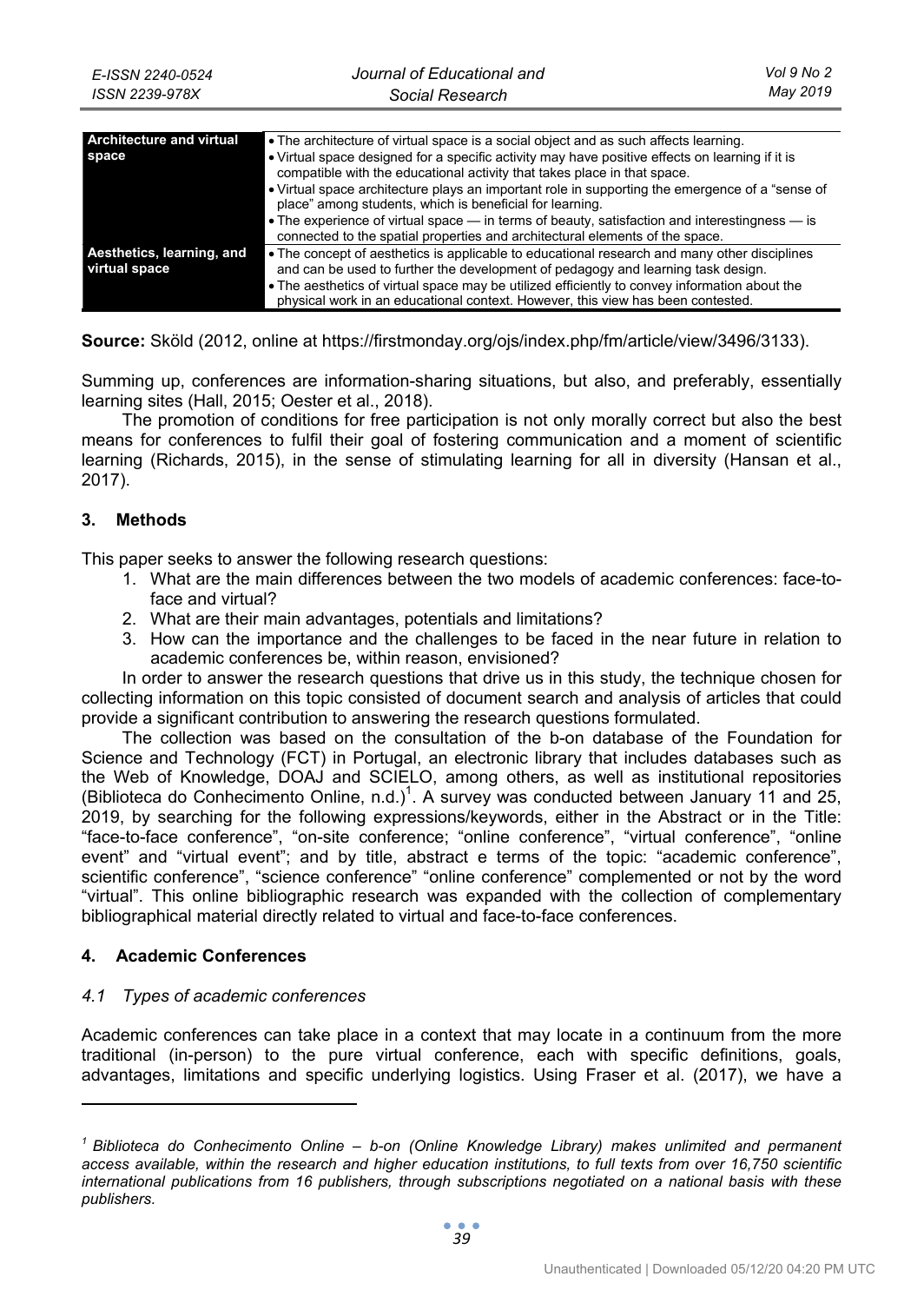| Architecture and virtual<br>space          | • The architecture of virtual space is a social object and as such affects learning.<br>• Virtual space designed for a specific activity may have positive effects on learning if it is<br>compatible with the educational activity that takes place in that space.<br>• Virtual space architecture plays an important role in supporting the emergence of a "sense of<br>place" among students, which is beneficial for learning.<br>• The experience of virtual space — in terms of beauty, satisfaction and interestingness — is<br>connected to the spatial properties and architectural elements of the space. |
|--------------------------------------------|---------------------------------------------------------------------------------------------------------------------------------------------------------------------------------------------------------------------------------------------------------------------------------------------------------------------------------------------------------------------------------------------------------------------------------------------------------------------------------------------------------------------------------------------------------------------------------------------------------------------|
| Aesthetics, learning, and<br>virtual space | • The concept of aesthetics is applicable to educational research and many other disciplines<br>and can be used to further the development of pedagogy and learning task design.<br>• The aesthetics of virtual space may be utilized efficiently to convey information about the<br>physical work in an educational context. However, this view has been contested.                                                                                                                                                                                                                                                |

**Source:** Sköld (2012, online at https://firstmonday.org/ojs/index.php/fm/article/view/3496/3133).

Summing up, conferences are information-sharing situations, but also, and preferably, essentially learning sites (Hall, 2015; Oester et al., 2018).

The promotion of conditions for free participation is not only morally correct but also the best means for conferences to fulfil their goal of fostering communication and a moment of scientific learning (Richards, 2015), in the sense of stimulating learning for all in diversity (Hansan et al., 2017).

## **3. Methods**

This paper seeks to answer the following research questions:

- 1. What are the main differences between the two models of academic conferences: face-toface and virtual?
- 2. What are their main advantages, potentials and limitations?
- 3. How can the importance and the challenges to be faced in the near future in relation to academic conferences be, within reason, envisioned?

In order to answer the research questions that drive us in this study, the technique chosen for collecting information on this topic consisted of document search and analysis of articles that could provide a significant contribution to answering the research questions formulated.

The collection was based on the consultation of the b-on database of the Foundation for Science and Technology (FCT) in Portugal, an electronic library that includes databases such as the Web of Knowledge, DOAJ and SCIELO, among others, as well as institutional repositories (Biblioteca do Conhecimento Online, n.d.)<sup>1</sup>. A survey was conducted between January 11 and 25, 2019, by searching for the following expressions/keywords, either in the Abstract or in the Title: "face-to-face conference", "on-site conference; "online conference", "virtual conference", "online event" and "virtual event"; and by title, abstract e terms of the topic: "academic conference", scientific conference", "science conference" "online conference" complemented or not by the word "virtual". This online bibliographic research was expanded with the collection of complementary bibliographical material directly related to virtual and face-to-face conferences.

## **4. Academic Conferences**

 $\overline{a}$ 

## *4.1 Types of academic conferences*

Academic conferences can take place in a context that may locate in a continuum from the more traditional (in-person) to the pure virtual conference, each with specific definitions, goals, advantages, limitations and specific underlying logistics. Using Fraser et al. (2017), we have a

*<sup>1</sup> Biblioteca do Conhecimento Online – b-on (Online Knowledge Library) makes unlimited and permanent access available, within the research and higher education institutions, to full texts from over 16,750 scientific international publications from 16 publishers, through subscriptions negotiated on a national basis with these publishers.*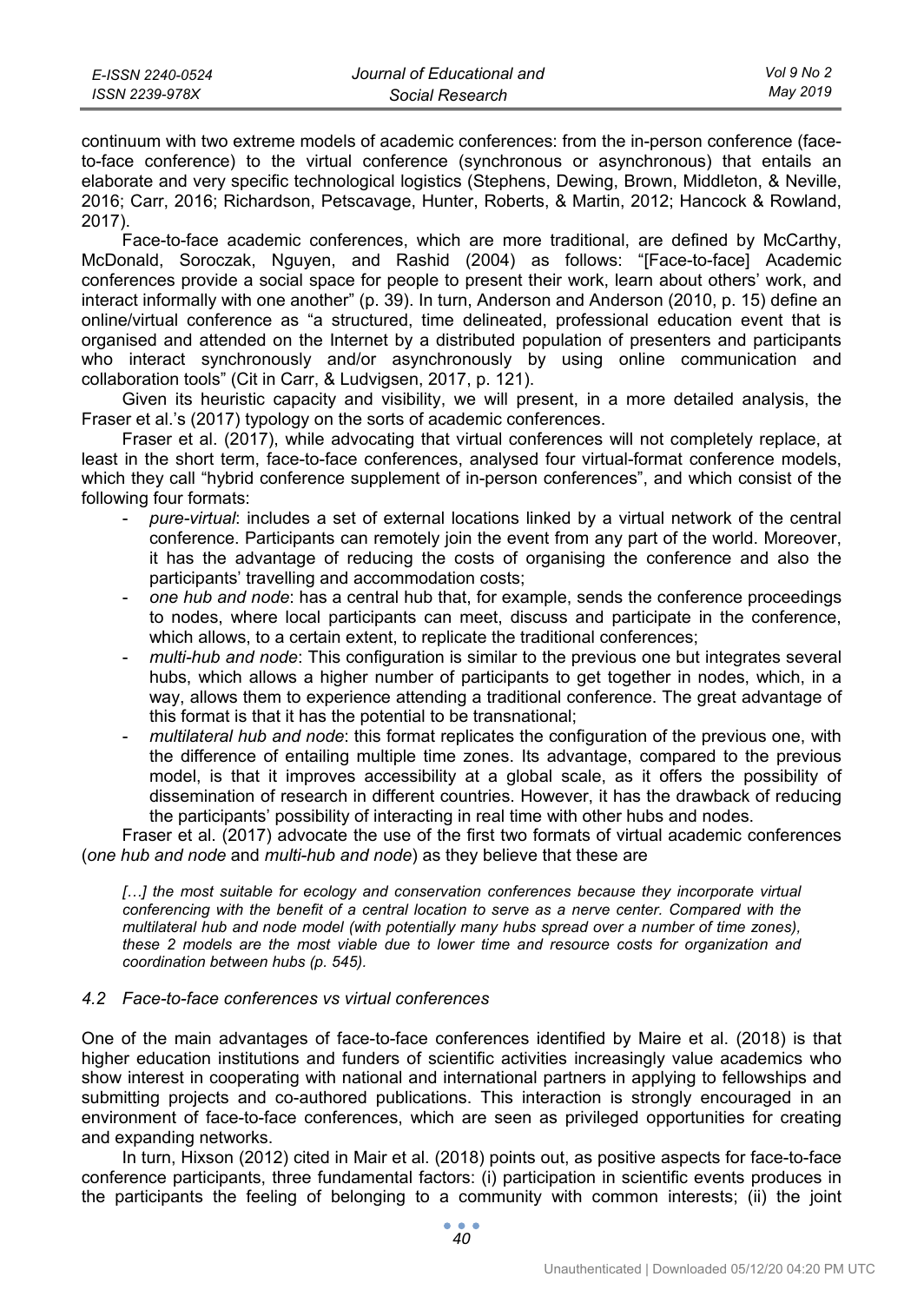continuum with two extreme models of academic conferences: from the in-person conference (faceto-face conference) to the virtual conference (synchronous or asynchronous) that entails an elaborate and very specific technological logistics (Stephens, Dewing, Brown, Middleton, & Neville, 2016; Carr, 2016; Richardson, Petscavage, Hunter, Roberts, & Martin, 2012; Hancock & Rowland, 2017).

Face-to-face academic conferences, which are more traditional, are defined by McCarthy, McDonald, Soroczak, Nguyen, and Rashid (2004) as follows: "[Face-to-face] Academic conferences provide a social space for people to present their work, learn about others' work, and interact informally with one another" (p. 39). In turn, Anderson and Anderson (2010, p. 15) define an online/virtual conference as "a structured, time delineated, professional education event that is organised and attended on the Internet by a distributed population of presenters and participants who interact synchronously and/or asynchronously by using online communication and collaboration tools" (Cit in Carr, & Ludvigsen, 2017, p. 121).

Given its heuristic capacity and visibility, we will present, in a more detailed analysis, the Fraser et al.'s (2017) typology on the sorts of academic conferences.

Fraser et al. (2017), while advocating that virtual conferences will not completely replace, at least in the short term, face-to-face conferences, analysed four virtual-format conference models, which they call "hybrid conference supplement of in-person conferences", and which consist of the following four formats:

- *pure-virtual*: includes a set of external locations linked by a virtual network of the central conference. Participants can remotely join the event from any part of the world. Moreover, it has the advantage of reducing the costs of organising the conference and also the participants' travelling and accommodation costs;
- *one hub and node*: has a central hub that, for example, sends the conference proceedings to nodes, where local participants can meet, discuss and participate in the conference, which allows, to a certain extent, to replicate the traditional conferences;
- *multi-hub and node*: This configuration is similar to the previous one but integrates several hubs, which allows a higher number of participants to get together in nodes, which, in a way, allows them to experience attending a traditional conference. The great advantage of this format is that it has the potential to be transnational;
- *multilateral hub and node*: this format replicates the configuration of the previous one, with the difference of entailing multiple time zones. Its advantage, compared to the previous model, is that it improves accessibility at a global scale, as it offers the possibility of dissemination of research in different countries. However, it has the drawback of reducing the participants' possibility of interacting in real time with other hubs and nodes.

Fraser et al. (2017) advocate the use of the first two formats of virtual academic conferences (*one hub and node* and *multi-hub and node*) as they believe that these are

[...] the most suitable for ecology and conservation conferences because they incorporate virtual *conferencing with the benefit of a central location to serve as a nerve center. Compared with the multilateral hub and node model (with potentially many hubs spread over a number of time zones), these 2 models are the most viable due to lower time and resource costs for organization and coordination between hubs (p. 545).* 

## *4.2 Face-to-face conferences vs virtual conferences*

One of the main advantages of face-to-face conferences identified by Maire et al. (2018) is that higher education institutions and funders of scientific activities increasingly value academics who show interest in cooperating with national and international partners in applying to fellowships and submitting projects and co-authored publications. This interaction is strongly encouraged in an environment of face-to-face conferences, which are seen as privileged opportunities for creating and expanding networks.

In turn, Hixson (2012) cited in Mair et al. (2018) points out, as positive aspects for face-to-face conference participants, three fundamental factors: (i) participation in scientific events produces in the participants the feeling of belonging to a community with common interests; (ii) the joint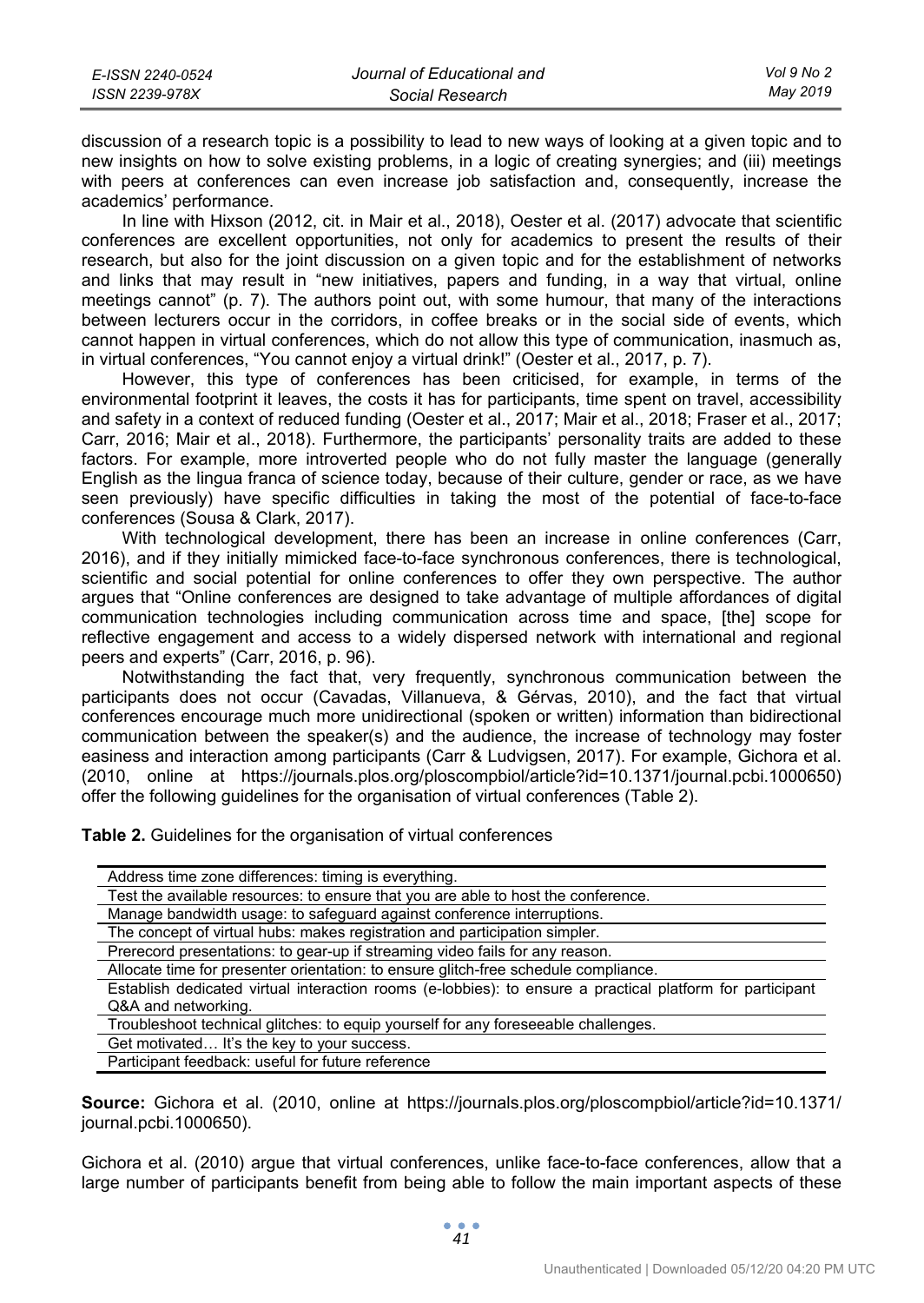| E-ISSN 2240-0524 | Journal of Educational and | Vol 9 No 2 |
|------------------|----------------------------|------------|
| ISSN 2239-978X   | Social Research            | May 2019   |

discussion of a research topic is a possibility to lead to new ways of looking at a given topic and to new insights on how to solve existing problems, in a logic of creating synergies; and (iii) meetings with peers at conferences can even increase job satisfaction and, consequently, increase the academics' performance.

In line with Hixson (2012, cit. in Mair et al., 2018), Oester et al. (2017) advocate that scientific conferences are excellent opportunities, not only for academics to present the results of their research, but also for the joint discussion on a given topic and for the establishment of networks and links that may result in "new initiatives, papers and funding, in a way that virtual, online meetings cannot" (p. 7). The authors point out, with some humour, that many of the interactions between lecturers occur in the corridors, in coffee breaks or in the social side of events, which cannot happen in virtual conferences, which do not allow this type of communication, inasmuch as, in virtual conferences, "You cannot enjoy a virtual drink!" (Oester et al., 2017, p. 7).

However, this type of conferences has been criticised, for example, in terms of the environmental footprint it leaves, the costs it has for participants, time spent on travel, accessibility and safety in a context of reduced funding (Oester et al., 2017; Mair et al., 2018; Fraser et al., 2017; Carr, 2016; Mair et al., 2018). Furthermore, the participants' personality traits are added to these factors. For example, more introverted people who do not fully master the language (generally English as the lingua franca of science today, because of their culture, gender or race, as we have seen previously) have specific difficulties in taking the most of the potential of face-to-face conferences (Sousa & Clark, 2017).

With technological development, there has been an increase in online conferences (Carr, 2016), and if they initially mimicked face-to-face synchronous conferences, there is technological, scientific and social potential for online conferences to offer they own perspective. The author argues that "Online conferences are designed to take advantage of multiple affordances of digital communication technologies including communication across time and space, [the] scope for reflective engagement and access to a widely dispersed network with international and regional peers and experts" (Carr, 2016, p. 96).

Notwithstanding the fact that, very frequently, synchronous communication between the participants does not occur (Cavadas, Villanueva, & Gérvas, 2010), and the fact that virtual conferences encourage much more unidirectional (spoken or written) information than bidirectional communication between the speaker(s) and the audience, the increase of technology may foster easiness and interaction among participants (Carr & Ludvigsen, 2017). For example, Gichora et al. (2010, online at https://journals.plos.org/ploscompbiol/article?id=10.1371/journal.pcbi.1000650) offer the following guidelines for the organisation of virtual conferences (Table 2).

**Table 2.** Guidelines for the organisation of virtual conferences

| Address time zone differences: timing is everything.                                                      |
|-----------------------------------------------------------------------------------------------------------|
| Test the available resources: to ensure that you are able to host the conference.                         |
| Manage bandwidth usage: to safeguard against conference interruptions.                                    |
| The concept of virtual hubs: makes registration and participation simpler.                                |
| Prerecord presentations: to gear-up if streaming video fails for any reason.                              |
| Allocate time for presenter orientation: to ensure glitch-free schedule compliance.                       |
| Establish dedicated virtual interaction rooms (e-lobbies): to ensure a practical platform for participant |
| Q&A and networking.                                                                                       |
| Troubleshoot technical glitches: to equip yourself for any foreseeable challenges.                        |
| Get motivated It's the key to your success.                                                               |
| Participant feedback: useful for future reference                                                         |

**Source:** Gichora et al. (2010, online at https://journals.plos.org/ploscompbiol/article?id=10.1371/ journal.pcbi.1000650).

Gichora et al. (2010) argue that virtual conferences, unlike face-to-face conferences, allow that a large number of participants benefit from being able to follow the main important aspects of these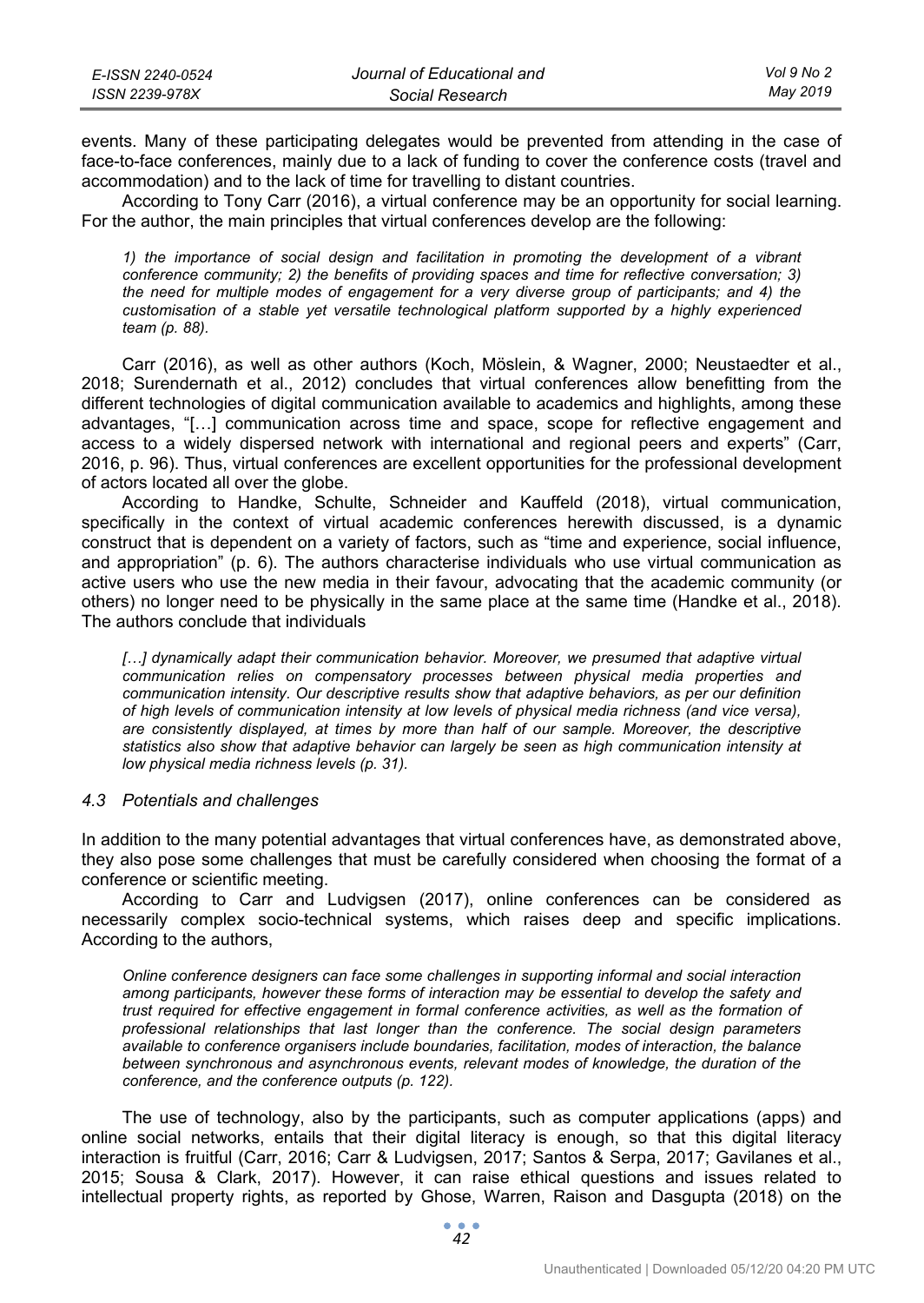| E-ISSN 2240-0524 | Journal of Educational and | Vol 9 No 2 |
|------------------|----------------------------|------------|
| ISSN 2239-978X   | Social Research            | May 2019   |

events. Many of these participating delegates would be prevented from attending in the case of face-to-face conferences, mainly due to a lack of funding to cover the conference costs (travel and accommodation) and to the lack of time for travelling to distant countries.

According to Tony Carr (2016), a virtual conference may be an opportunity for social learning. For the author, the main principles that virtual conferences develop are the following:

*1) the importance of social design and facilitation in promoting the development of a vibrant conference community; 2) the benefits of providing spaces and time for reflective conversation; 3) the need for multiple modes of engagement for a very diverse group of participants; and 4) the customisation of a stable yet versatile technological platform supported by a highly experienced team (p. 88).* 

Carr (2016), as well as other authors (Koch, Möslein, & Wagner, 2000; Neustaedter et al., 2018; Surendernath et al., 2012) concludes that virtual conferences allow benefitting from the different technologies of digital communication available to academics and highlights, among these advantages, "[…] communication across time and space, scope for reflective engagement and access to a widely dispersed network with international and regional peers and experts" (Carr, 2016, p. 96). Thus, virtual conferences are excellent opportunities for the professional development of actors located all over the globe.

According to Handke, Schulte, Schneider and Kauffeld (2018), virtual communication, specifically in the context of virtual academic conferences herewith discussed, is a dynamic construct that is dependent on a variety of factors, such as "time and experience, social influence, and appropriation" (p. 6). The authors characterise individuals who use virtual communication as active users who use the new media in their favour, advocating that the academic community (or others) no longer need to be physically in the same place at the same time (Handke et al., 2018). The authors conclude that individuals

[...] dynamically adapt their communication behavior. Moreover, we presumed that adaptive virtual communication relies on compensatory processes between physical media properties and *communication intensity. Our descriptive results show that adaptive behaviors, as per our definition of high levels of communication intensity at low levels of physical media richness (and vice versa), are consistently displayed, at times by more than half of our sample. Moreover, the descriptive statistics also show that adaptive behavior can largely be seen as high communication intensity at low physical media richness levels (p. 31).* 

#### *4.3 Potentials and challenges*

In addition to the many potential advantages that virtual conferences have, as demonstrated above, they also pose some challenges that must be carefully considered when choosing the format of a conference or scientific meeting.

According to Carr and Ludvigsen (2017), online conferences can be considered as necessarily complex socio-technical systems, which raises deep and specific implications. According to the authors,

*Online conference designers can face some challenges in supporting informal and social interaction among participants, however these forms of interaction may be essential to develop the safety and trust required for effective engagement in formal conference activities, as well as the formation of professional relationships that last longer than the conference. The social design parameters available to conference organisers include boundaries, facilitation, modes of interaction, the balance between synchronous and asynchronous events, relevant modes of knowledge, the duration of the conference, and the conference outputs (p. 122).* 

The use of technology, also by the participants, such as computer applications (apps) and online social networks, entails that their digital literacy is enough, so that this digital literacy interaction is fruitful (Carr, 2016; Carr & Ludvigsen, 2017; Santos & Serpa, 2017; Gavilanes et al., 2015; Sousa & Clark, 2017). However, it can raise ethical questions and issues related to intellectual property rights, as reported by Ghose, Warren, Raison and Dasgupta (2018) on the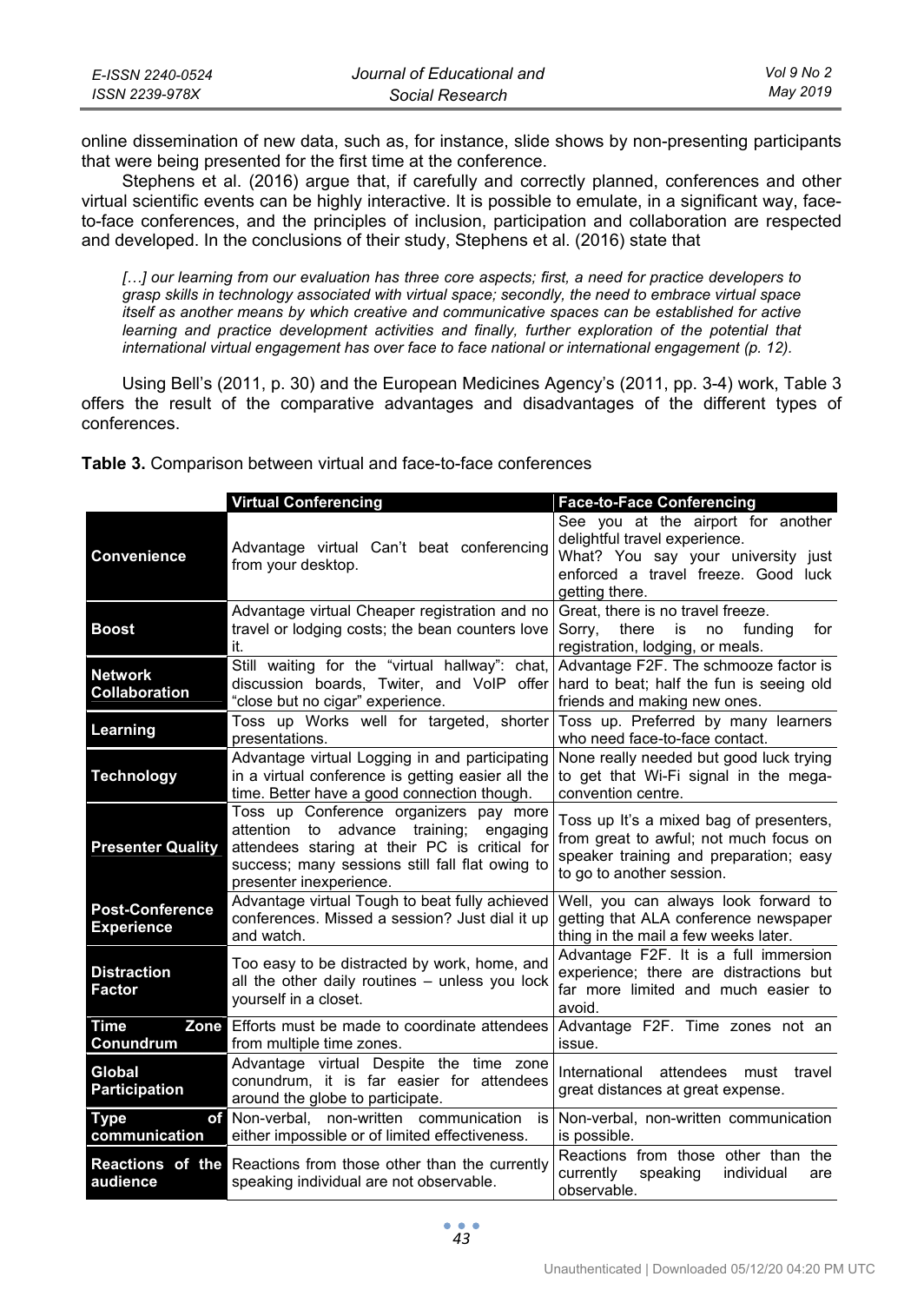| E-ISSN 2240-0524 | Journal of Educational and | Vol 9 No 2 |
|------------------|----------------------------|------------|
| ISSN 2239-978X   | Social Research            | May 2019   |

online dissemination of new data, such as, for instance, slide shows by non-presenting participants that were being presented for the first time at the conference.

Stephens et al. (2016) argue that, if carefully and correctly planned, conferences and other virtual scientific events can be highly interactive. It is possible to emulate, in a significant way, faceto-face conferences, and the principles of inclusion, participation and collaboration are respected and developed. In the conclusions of their study, Stephens et al. (2016) state that

[...] our learning from our evaluation has three core aspects; first, a need for practice developers to *grasp skills in technology associated with virtual space; secondly, the need to embrace virtual space itself as another means by which creative and communicative spaces can be established for active*  learning and practice development activities and finally, further exploration of the potential that *international virtual engagement has over face to face national or international engagement (p. 12).* 

Using Bell's (2011, p. 30) and the European Medicines Agency's (2011, pp. 3-4) work, Table 3 offers the result of the comparative advantages and disadvantages of the different types of conferences.

|                                             | <b>Virtual Conferencing</b>                                                                                                                                                                                         | <b>Face-to-Face Conferencing</b>                                                                                                                                   |
|---------------------------------------------|---------------------------------------------------------------------------------------------------------------------------------------------------------------------------------------------------------------------|--------------------------------------------------------------------------------------------------------------------------------------------------------------------|
| <b>Convenience</b>                          | Advantage virtual Can't beat conferencing<br>from your desktop.                                                                                                                                                     | See you at the airport for another<br>delightful travel experience.<br>What? You say your university just<br>enforced a travel freeze. Good luck<br>getting there. |
| <b>Boost</b>                                | Advantage virtual Cheaper registration and no<br>travel or lodging costs; the bean counters love<br>it.                                                                                                             | Great, there is no travel freeze.<br>Sorry,<br>there<br>is<br>no<br>fundina<br>for<br>registration, lodging, or meals.                                             |
| <b>Network</b><br><b>Collaboration</b>      | Still waiting for the "virtual hallway": chat,<br>discussion boards, Twiter, and VoIP offer<br>"close but no cigar" experience.                                                                                     | Advantage F2F. The schmooze factor is<br>hard to beat; half the fun is seeing old<br>friends and making new ones.                                                  |
| Learning                                    | Toss up Works well for targeted, shorter<br>presentations.                                                                                                                                                          | Toss up. Preferred by many learners<br>who need face-to-face contact.                                                                                              |
| <b>Technology</b>                           | Advantage virtual Logging in and participating<br>in a virtual conference is getting easier all the<br>time. Better have a good connection though.                                                                  | None really needed but good luck trying<br>to get that Wi-Fi signal in the mega-<br>convention centre.                                                             |
| <b>Presenter Quality</b>                    | Toss up Conference organizers pay more<br>attention to advance training;<br>engaging<br>attendees staring at their PC is critical for<br>success; many sessions still fall flat owing to<br>presenter inexperience. | Toss up It's a mixed bag of presenters,<br>from great to awful; not much focus on<br>speaker training and preparation; easy<br>to go to another session.           |
| <b>Post-Conference</b><br><b>Experience</b> | Advantage virtual Tough to beat fully achieved<br>conferences. Missed a session? Just dial it up<br>and watch.                                                                                                      | Well, you can always look forward to<br>getting that ALA conference newspaper<br>thing in the mail a few weeks later.                                              |
| <b>Distraction</b><br>Factor                | Too easy to be distracted by work, home, and<br>all the other daily routines - unless you lock<br>yourself in a closet.                                                                                             | Advantage F2F. It is a full immersion<br>experience; there are distractions but<br>far more limited and much easier to<br>avoid.                                   |
| <b>Time</b><br>Zone<br>Conundrum            | Efforts must be made to coordinate attendees<br>from multiple time zones.                                                                                                                                           | Advantage F2F. Time zones not an<br>issue.                                                                                                                         |
| Global<br><b>Participation</b>              | Advantage virtual Despite the time zone<br>conundrum, it is far easier for attendees<br>around the globe to participate.                                                                                            | International<br>attendees must travel<br>great distances at great expense.                                                                                        |
| <b>Type</b><br>оf<br>communication          | Non-verbal, non-written communication<br>is<br>either impossible or of limited effectiveness.                                                                                                                       | Non-verbal, non-written communication<br>is possible.                                                                                                              |
| audience                                    | <b>Reactions of the Reactions from those other than the currently</b><br>speaking individual are not observable.                                                                                                    | Reactions from those other than the<br>speaking<br>currently<br>individual<br>are<br>observable.                                                                   |

**Table 3.** Comparison between virtual and face-to-face conferences

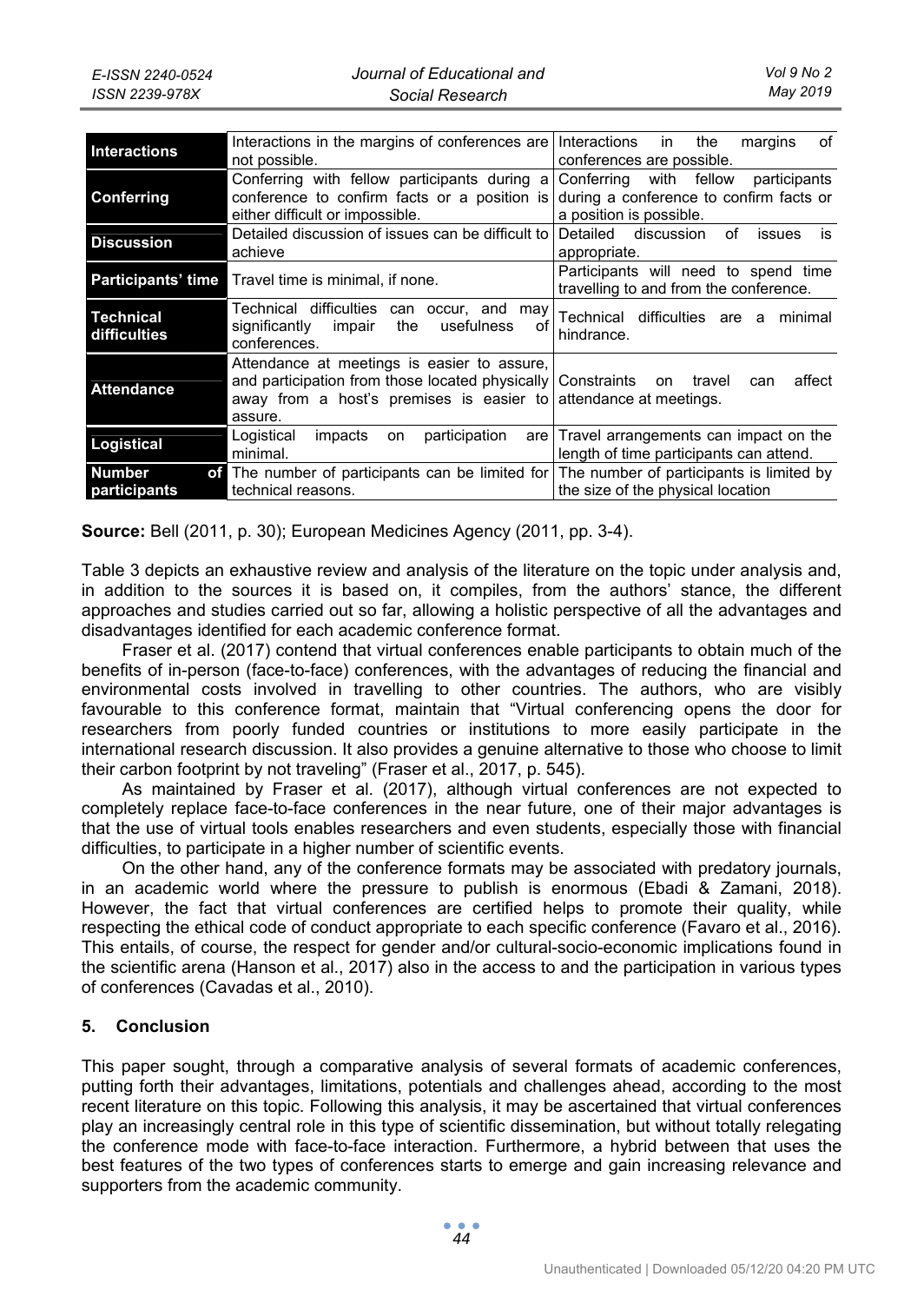| <b>Interactions</b>              | Interactions in the margins of conferences are<br>not possible.                                                                                                                              | <b>Interactions</b><br>the<br>of<br>in.<br>margins<br>conferences are possible.                                 |
|----------------------------------|----------------------------------------------------------------------------------------------------------------------------------------------------------------------------------------------|-----------------------------------------------------------------------------------------------------------------|
| Conferring                       | Conferring with fellow participants during a<br>conference to confirm facts or a position is<br>either difficult or impossible.                                                              | with fellow<br>Conferring<br>participants<br>during a conference to confirm facts or<br>a position is possible. |
| <b>Discussion</b>                | Detailed discussion of issues can be difficult to<br>achieve                                                                                                                                 | Detailed discussion<br>of<br>issues<br>İS<br>appropriate.                                                       |
| <b>Participants' time</b>        | Travel time is minimal, if none.                                                                                                                                                             | Participants will need to spend time<br>travelling to and from the conference.                                  |
| <b>Technical</b><br>difficulties | Technical difficulties<br>can occur, and may<br>usefulness<br>significantly<br>the<br>impair<br>οf<br>conferences.                                                                           | Technical difficulties are a<br>minimal<br>hindrance.                                                           |
| <b>Attendance</b>                | Attendance at meetings is easier to assure,<br>and participation from those located physically Constraints on<br>away from a host's premises is easier to attendance at meetings.<br>assure. | affect<br>travel<br>can                                                                                         |
| Logistical                       | Logistical<br>participation<br>impacts<br>are<br>on<br>minimal.                                                                                                                              | Travel arrangements can impact on the<br>length of time participants can attend.                                |
| <b>Number</b><br>participants    | of The number of participants can be limited for The number of participants is limited by<br>technical reasons.                                                                              | the size of the physical location                                                                               |

**Source:** Bell (2011, p. 30); European Medicines Agency (2011, pp. 3-4).

Table 3 depicts an exhaustive review and analysis of the literature on the topic under analysis and, in addition to the sources it is based on, it compiles, from the authors' stance, the different approaches and studies carried out so far, allowing a holistic perspective of all the advantages and disadvantages identified for each academic conference format.

Fraser et al. (2017) contend that virtual conferences enable participants to obtain much of the benefits of in-person (face-to-face) conferences, with the advantages of reducing the financial and environmental costs involved in travelling to other countries. The authors, who are visibly favourable to this conference format, maintain that "Virtual conferencing opens the door for researchers from poorly funded countries or institutions to more easily participate in the international research discussion. It also provides a genuine alternative to those who choose to limit their carbon footprint by not traveling" (Fraser et al., 2017, p. 545).

As maintained by Fraser et al. (2017), although virtual conferences are not expected to completely replace face-to-face conferences in the near future, one of their major advantages is that the use of virtual tools enables researchers and even students, especially those with financial difficulties, to participate in a higher number of scientific events.

On the other hand, any of the conference formats may be associated with predatory journals, in an academic world where the pressure to publish is enormous (Ebadi & Zamani, 2018). However, the fact that virtual conferences are certified helps to promote their quality, while respecting the ethical code of conduct appropriate to each specific conference (Favaro et al., 2016). This entails, of course, the respect for gender and/or cultural-socio-economic implications found in the scientific arena (Hanson et al., 2017) also in the access to and the participation in various types of conferences (Cavadas et al., 2010).

## **5. Conclusion**

This paper sought, through a comparative analysis of several formats of academic conferences, putting forth their advantages, limitations, potentials and challenges ahead, according to the most recent literature on this topic. Following this analysis, it may be ascertained that virtual conferences play an increasingly central role in this type of scientific dissemination, but without totally relegating the conference mode with face-to-face interaction. Furthermore, a hybrid between that uses the best features of the two types of conferences starts to emerge and gain increasing relevance and supporters from the academic community.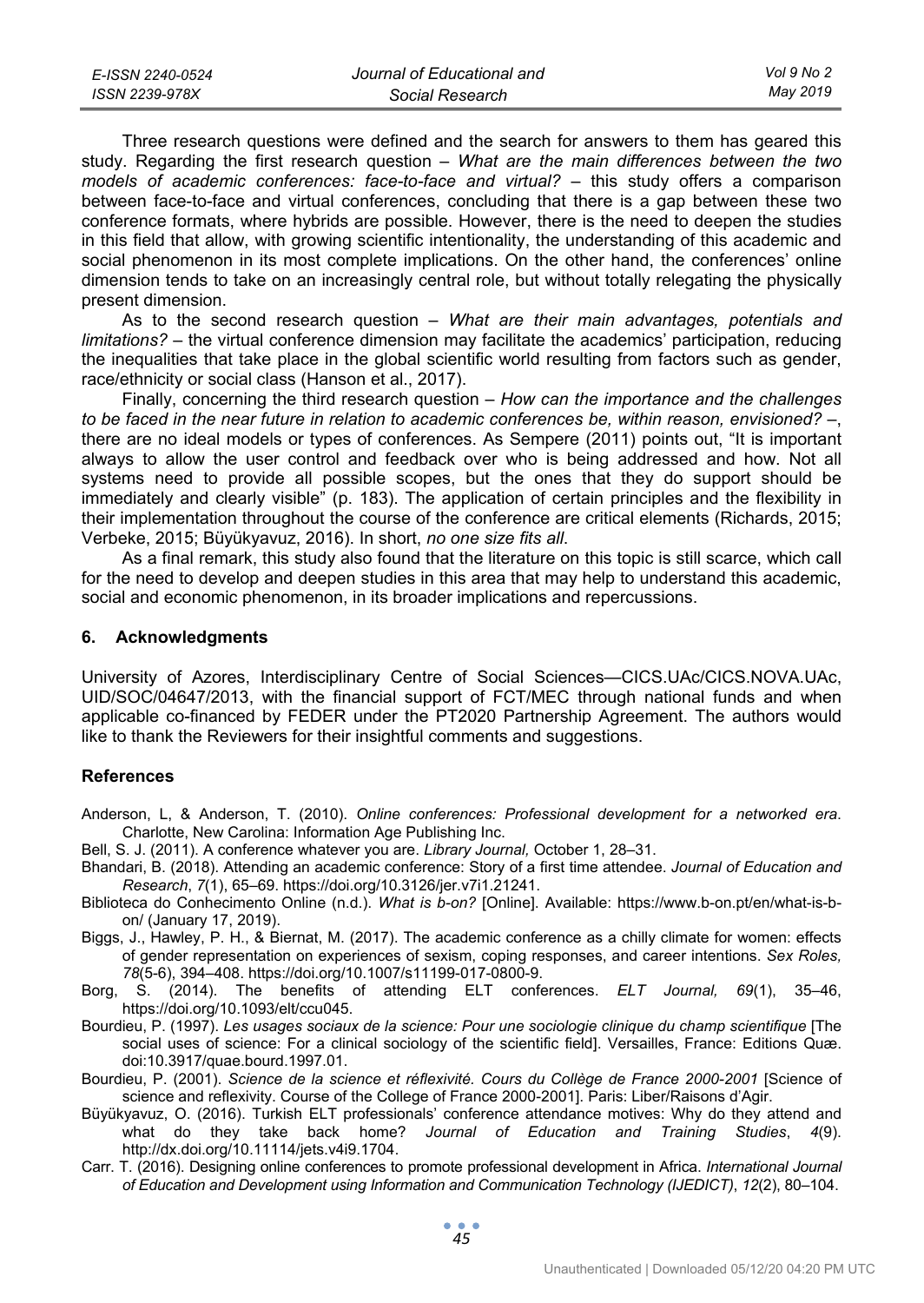| E-ISSN 2240-0524 | Journal of Educational and | Vol 9 No 2 |
|------------------|----------------------------|------------|
| ISSN 2239-978X   | Social Research            | May 2019   |

Three research questions were defined and the search for answers to them has geared this study. Regarding the first research question – *What are the main differences between the two models of academic conferences: face-to-face and virtual?* – this study offers a comparison between face-to-face and virtual conferences, concluding that there is a gap between these two conference formats, where hybrids are possible. However, there is the need to deepen the studies in this field that allow, with growing scientific intentionality, the understanding of this academic and social phenomenon in its most complete implications. On the other hand, the conferences' online dimension tends to take on an increasingly central role, but without totally relegating the physically present dimension.

As to the second research question – *What are their main advantages, potentials and limitations?* – the virtual conference dimension may facilitate the academics' participation, reducing the inequalities that take place in the global scientific world resulting from factors such as gender, race/ethnicity or social class (Hanson et al., 2017).

Finally, concerning the third research question – *How can the importance and the challenges to be faced in the near future in relation to academic conferences be, within reason, envisioned?* –, there are no ideal models or types of conferences. As Sempere (2011) points out, "It is important always to allow the user control and feedback over who is being addressed and how. Not all systems need to provide all possible scopes, but the ones that they do support should be immediately and clearly visible" (p. 183). The application of certain principles and the flexibility in their implementation throughout the course of the conference are critical elements (Richards, 2015; Verbeke, 2015; Büyükyavuz, 2016). In short, *no one size fits all*.

As a final remark, this study also found that the literature on this topic is still scarce, which call for the need to develop and deepen studies in this area that may help to understand this academic, social and economic phenomenon, in its broader implications and repercussions.

#### **6. Acknowledgments**

University of Azores, Interdisciplinary Centre of Social Sciences—CICS.UAc/CICS.NOVA.UAc, UID/SOC/04647/2013, with the financial support of FCT/MEC through national funds and when applicable co-financed by FEDER under the PT2020 Partnership Agreement. The authors would like to thank the Reviewers for their insightful comments and suggestions.

#### **References**

- Anderson, L, & Anderson, T. (2010). *Online conferences: Professional development for a networked era*. Charlotte, New Carolina: Information Age Publishing Inc.
- Bell, S. J. (2011). A conference whatever you are. *Library Journal,* October 1, 28–31.
- Bhandari, B. (2018). Attending an academic conference: Story of a first time attendee. *Journal of Education and Research*, *7*(1), 65–69. https://doi.org/10.3126/jer.v7i1.21241.
- Biblioteca do Conhecimento Online (n.d.). *What is b-on?* [Online]. Available: https://www.b-on.pt/en/what-is-bon/ (January 17, 2019).
- Biggs, J., Hawley, P. H., & Biernat, M. (2017). The academic conference as a chilly climate for women: effects of gender representation on experiences of sexism, coping responses, and career intentions. *Sex Roles, 78*(5-6), 394–408. https://doi.org/10.1007/s11199-017-0800-9.
- Borg, S. (2014). The benefits of attending ELT conferences. *ELT Journal, 69*(1), 35–46, https://doi.org/10.1093/elt/ccu045.
- Bourdieu, P. (1997). *Les usages sociaux de la science: Pour une sociologie clinique du champ scientifique* [The social uses of science: For a clinical sociology of the scientific field]. Versailles, France: Editions Quæ. doi:10.3917/quae.bourd.1997.01.
- Bourdieu, P. (2001). *Science de la science et réflexivité. Cours du Collège de France 2000-2001* [Science of science and reflexivity. Course of the College of France 2000-2001]. Paris: Liber/Raisons d'Agir.
- Büyükyavuz, O. (2016). Turkish ELT professionals' conference attendance motives: Why do they attend and what do they take back home? *Journal of Education and Training Studies*, *4*(9). http://dx.doi.org/10.11114/jets.v4i9.1704.
- Carr. T. (2016). Designing online conferences to promote professional development in Africa. *International Journal of Education and Development using Information and Communication Technology (IJEDICT)*, *12*(2), 80–104.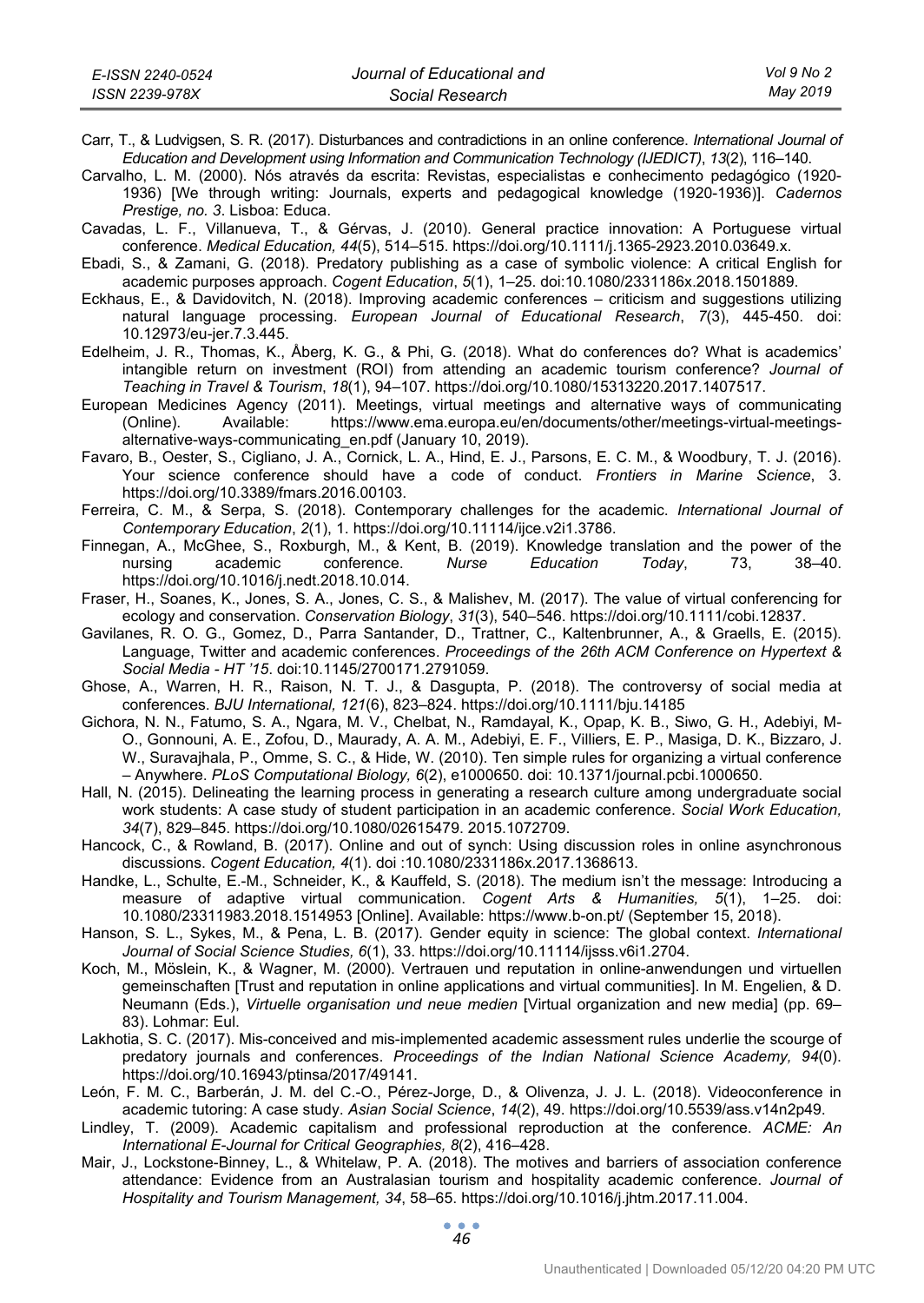Carr, T., & Ludvigsen, S. R. (2017). Disturbances and contradictions in an online conference. *International Journal of Education and Development using Information and Communication Technology (IJEDICT)*, *13*(2), 116–140.

Carvalho, L. M. (2000). Nós através da escrita: Revistas, especialistas e conhecimento pedagógico (1920- 1936) [We through writing: Journals, experts and pedagogical knowledge (1920-1936)]. *Cadernos Prestige, no. 3*. Lisboa: Educa.

- Cavadas, L. F., Villanueva, T., & Gérvas, J. (2010). General practice innovation: A Portuguese virtual conference. *Medical Education, 44*(5), 514–515. https://doi.org/10.1111/j.1365-2923.2010.03649.x.
- Ebadi, S., & Zamani, G. (2018). Predatory publishing as a case of symbolic violence: A critical English for academic purposes approach. *Cogent Education*, *5*(1), 1–25. doi:10.1080/2331186x.2018.1501889.
- Eckhaus, E., & Davidovitch, N. (2018). Improving academic conferences criticism and suggestions utilizing natural language processing. *European Journal of Educational Research*, *7*(3), 445-450. doi: 10.12973/eu-jer.7.3.445.
- Edelheim, J. R., Thomas, K., Åberg, K. G., & Phi, G. (2018). What do conferences do? What is academics' intangible return on investment (ROI) from attending an academic tourism conference? *Journal of Teaching in Travel & Tourism*, *18*(1), 94–107. https://doi.org/10.1080/15313220.2017.1407517.
- European Medicines Agency (2011). Meetings, virtual meetings and alternative ways of communicating (Online). Available: https://www.ema.europa.eu/en/documents/other/meetings-virtual-meetingsalternative-ways-communicating\_en.pdf (January 10, 2019).
- Favaro, B., Oester, S., Cigliano, J. A., Cornick, L. A., Hind, E. J., Parsons, E. C. M., & Woodbury, T. J. (2016). Your science conference should have a code of conduct. *Frontiers in Marine Science*, 3. https://doi.org/10.3389/fmars.2016.00103.
- Ferreira, C. M., & Serpa, S. (2018). Contemporary challenges for the academic. *International Journal of Contemporary Education*, *2*(1), 1. https://doi.org/10.11114/ijce.v2i1.3786.
- Finnegan, A., McGhee, S., Roxburgh, M., & Kent, B. (2019). Knowledge translation and the power of the nursing academic conference. *Nurse Education Today*, 73, 38–40. https://doi.org/10.1016/j.nedt.2018.10.014.
- Fraser, H., Soanes, K., Jones, S. A., Jones, C. S., & Malishev, M. (2017). The value of virtual conferencing for ecology and conservation. *Conservation Biology*, *31*(3), 540–546. https://doi.org/10.1111/cobi.12837.
- Gavilanes, R. O. G., Gomez, D., Parra Santander, D., Trattner, C., Kaltenbrunner, A., & Graells, E. (2015). Language, Twitter and academic conferences. *Proceedings of the 26th ACM Conference on Hypertext & Social Media - HT '15*. doi:10.1145/2700171.2791059.
- Ghose, A., Warren, H. R., Raison, N. T. J., & Dasgupta, P. (2018). The controversy of social media at conferences. *BJU International, 121*(6), 823–824. https://doi.org/10.1111/bju.14185
- Gichora, N. N., Fatumo, S. A., Ngara, M. V., Chelbat, N., Ramdayal, K., Opap, K. B., Siwo, G. H., Adebiyi, M-O., Gonnouni, A. E., Zofou, D., Maurady, A. A. M., Adebiyi, E. F., Villiers, E. P., Masiga, D. K., Bizzaro, J. W., Suravajhala, P., Omme, S. C., & Hide, W. (2010). Ten simple rules for organizing a virtual conference – Anywhere. *PLoS Computational Biology, 6*(2), e1000650. doi: 10.1371/journal.pcbi.1000650.
- Hall, N. (2015). Delineating the learning process in generating a research culture among undergraduate social work students: A case study of student participation in an academic conference. *Social Work Education, 34*(7), 829–845. https://doi.org/10.1080/02615479. 2015.1072709.
- Hancock, C., & Rowland, B. (2017). Online and out of synch: Using discussion roles in online asynchronous discussions. *Cogent Education, 4*(1). doi :10.1080/2331186x.2017.1368613.
- Handke, L., Schulte, E.-M., Schneider, K., & Kauffeld, S. (2018). The medium isn't the message: Introducing a measure of adaptive virtual communication. *Cogent Arts & Humanities, 5*(1), 1–25. doi: 10.1080/23311983.2018.1514953 [Online]. Available: https://www.b-on.pt/ (September 15, 2018).
- Hanson, S. L., Sykes, M., & Pena, L. B. (2017). Gender equity in science: The global context. *International Journal of Social Science Studies, 6*(1), 33. https://doi.org/10.11114/ijsss.v6i1.2704.
- Koch, M., Möslein, K., & Wagner, M. (2000). Vertrauen und reputation in online-anwendungen und virtuellen gemeinschaften [Trust and reputation in online applications and virtual communities]. In M. Engelien, & D. Neumann (Eds.), *Virtuelle organisation und neue medien* [Virtual organization and new media] (pp. 69– 83). Lohmar: Eul.
- Lakhotia, S. C. (2017). Mis-conceived and mis-implemented academic assessment rules underlie the scourge of predatory journals and conferences. *Proceedings of the Indian National Science Academy, 94*(0). https://doi.org/10.16943/ptinsa/2017/49141.
- León, F. M. C., Barberán, J. M. del C.-O., Pérez-Jorge, D., & Olivenza, J. J. L. (2018). Videoconference in academic tutoring: A case study. *Asian Social Science*, *14*(2), 49. https://doi.org/10.5539/ass.v14n2p49.
- Lindley, T. (2009). Academic capitalism and professional reproduction at the conference. *ACME: An International E-Journal for Critical Geographies, 8*(2), 416–428.
- Mair, J., Lockstone-Binney, L., & Whitelaw, P. A. (2018). The motives and barriers of association conference attendance: Evidence from an Australasian tourism and hospitality academic conference. *Journal of Hospitality and Tourism Management, 34*, 58–65. https://doi.org/10.1016/j.jhtm.2017.11.004.